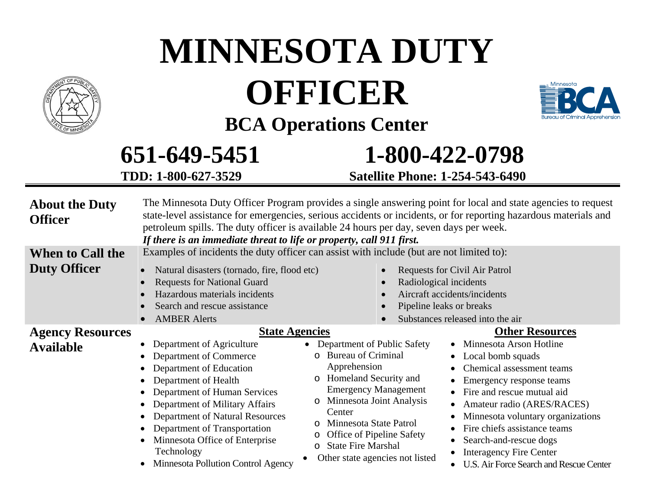|                                                | 651-649-5451<br>TDD: 1-800-627-3529                                                                                                                                                                                                                                                                                                                                                                | <b>Satellite Phone: 1-254-543-6490</b>                                                                                                                                                                                                                                                                                                                              | 1-800-422-0798                                                                                                                                                                                                                                                                                                                                                                       |
|------------------------------------------------|----------------------------------------------------------------------------------------------------------------------------------------------------------------------------------------------------------------------------------------------------------------------------------------------------------------------------------------------------------------------------------------------------|---------------------------------------------------------------------------------------------------------------------------------------------------------------------------------------------------------------------------------------------------------------------------------------------------------------------------------------------------------------------|--------------------------------------------------------------------------------------------------------------------------------------------------------------------------------------------------------------------------------------------------------------------------------------------------------------------------------------------------------------------------------------|
| <b>About the Duty</b><br><b>Officer</b>        | The Minnesota Duty Officer Program provides a single answering point for local and state agencies to request<br>state-level assistance for emergencies, serious accidents or incidents, or for reporting hazardous materials and<br>petroleum spills. The duty officer is available 24 hours per day, seven days per week.<br>If there is an immediate threat to life or property, call 911 first. |                                                                                                                                                                                                                                                                                                                                                                     |                                                                                                                                                                                                                                                                                                                                                                                      |
| <b>When to Call the</b><br><b>Duty Officer</b> | Examples of incidents the duty officer can assist with include (but are not limited to):<br>Natural disasters (tornado, fire, flood etc)<br>$\bullet$<br><b>Requests for National Guard</b><br>$\bullet$<br>Hazardous materials incidents<br>$\bullet$<br>Search and rescue assistance<br><b>AMBER Alerts</b>                                                                                      |                                                                                                                                                                                                                                                                                                                                                                     | <b>Requests for Civil Air Patrol</b><br>Radiological incidents<br>Aircraft accidents/incidents<br>Pipeline leaks or breaks<br>Substances released into the air                                                                                                                                                                                                                       |
| <b>Agency Resources</b><br><b>Available</b>    | <b>State Agencies</b><br>Department of Agriculture<br>Department of Commerce<br>$\bullet$<br>Department of Education<br>Department of Health<br>Department of Human Services<br>Department of Military Affairs<br>$\bullet$<br>Department of Natural Resources<br>Department of Transportation<br>$\bullet$<br>Minnesota Office of Enterprise<br>Technology<br>Minnesota Pollution Control Agency  | Department of Public Safety<br>$\bullet$<br><b>Bureau of Criminal</b><br>$\circ$<br>Apprehension<br>o Homeland Security and<br><b>Emergency Management</b><br>Minnesota Joint Analysis<br>$\circ$<br>Center<br>Minnesota State Patrol<br>$\circ$<br>Office of Pipeline Safety<br>$\circ$<br><b>State Fire Marshal</b><br>$\circ$<br>Other state agencies not listed | <b>Other Resources</b><br>Minnesota Arson Hotline<br>Local bomb squads<br>Chemical assessment teams<br>Emergency response teams<br>Fire and rescue mutual aid<br>Amateur radio (ARES/RACES)<br>$\bullet$<br>Minnesota voluntary organizations<br>Fire chiefs assistance teams<br>Search-and-rescue dogs<br><b>Interagency Fire Center</b><br>U.S. Air Force Search and Rescue Center |



# **MINNESOTA DUTY OFFICER**



**BCA Operations Center**